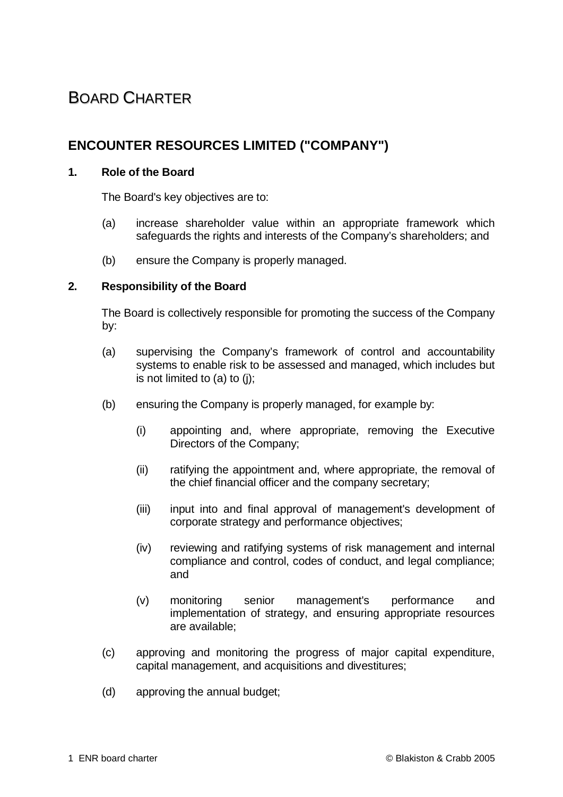# BOARD CHARTER

# **ENCOUNTER RESOURCES LIMITED ("COMPANY")**

## **1. Role of the Board**

The Board's key objectives are to:

- (a) increase shareholder value within an appropriate framework which safeguards the rights and interests of the Company's shareholders; and
- (b) ensure the Company is properly managed.

### **2. Responsibility of the Board**

The Board is collectively responsible for promoting the success of the Company by:

- (a) supervising the Company's framework of control and accountability systems to enable risk to be assessed and managed, which includes but is not limited to (a) to (j);
- (b) ensuring the Company is properly managed, for example by:
	- (i) appointing and, where appropriate, removing the Executive Directors of the Company;
	- (ii) ratifying the appointment and, where appropriate, the removal of the chief financial officer and the company secretary;
	- (iii) input into and final approval of management's development of corporate strategy and performance objectives;
	- (iv) reviewing and ratifying systems of risk management and internal compliance and control, codes of conduct, and legal compliance; and
	- (v) monitoring senior management's performance and implementation of strategy, and ensuring appropriate resources are available;
- (c) approving and monitoring the progress of major capital expenditure, capital management, and acquisitions and divestitures;
- (d) approving the annual budget;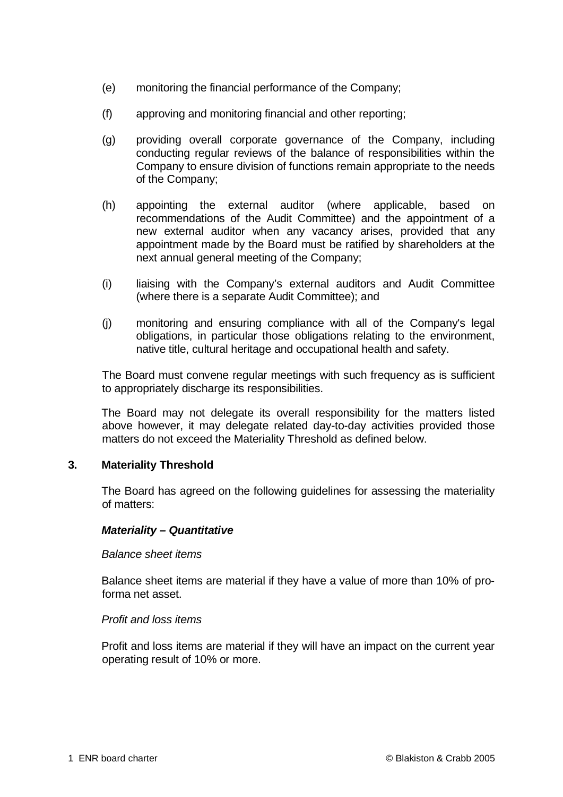- (e) monitoring the financial performance of the Company;
- (f) approving and monitoring financial and other reporting;
- (g) providing overall corporate governance of the Company, including conducting regular reviews of the balance of responsibilities within the Company to ensure division of functions remain appropriate to the needs of the Company;
- (h) appointing the external auditor (where applicable, based on recommendations of the Audit Committee) and the appointment of a new external auditor when any vacancy arises, provided that any appointment made by the Board must be ratified by shareholders at the next annual general meeting of the Company;
- (i) liaising with the Company's external auditors and Audit Committee (where there is a separate Audit Committee); and
- (j) monitoring and ensuring compliance with all of the Company's legal obligations, in particular those obligations relating to the environment, native title, cultural heritage and occupational health and safety.

The Board must convene regular meetings with such frequency as is sufficient to appropriately discharge its responsibilities.

The Board may not delegate its overall responsibility for the matters listed above however, it may delegate related day-to-day activities provided those matters do not exceed the Materiality Threshold as defined below.

### **3. Materiality Threshold**

The Board has agreed on the following guidelines for assessing the materiality of matters:

### *Materiality – Quantitative*

#### *Balance sheet items*

Balance sheet items are material if they have a value of more than 10% of proforma net asset.

#### *Profit and loss items*

Profit and loss items are material if they will have an impact on the current year operating result of 10% or more.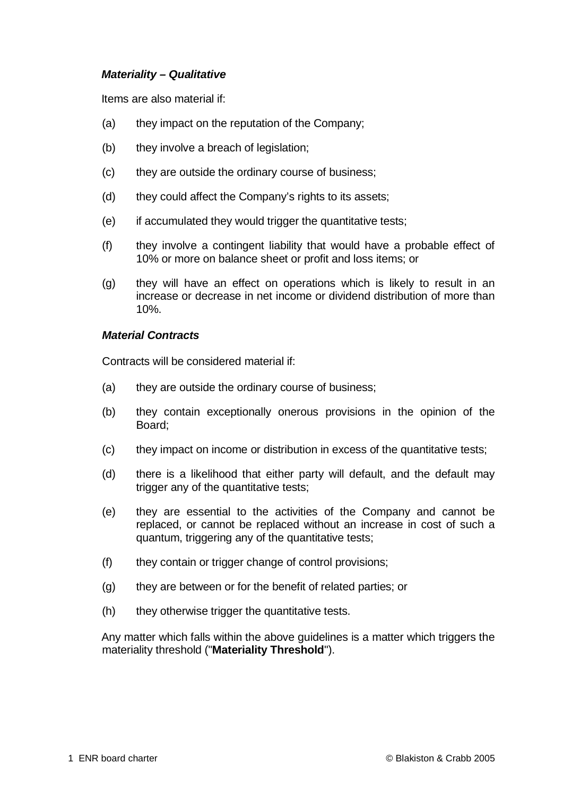#### *Materiality – Qualitative*

Items are also material if:

- (a) they impact on the reputation of the Company;
- (b) they involve a breach of legislation;
- (c) they are outside the ordinary course of business;
- (d) they could affect the Company's rights to its assets;
- (e) if accumulated they would trigger the quantitative tests;
- (f) they involve a contingent liability that would have a probable effect of 10% or more on balance sheet or profit and loss items; or
- (g) they will have an effect on operations which is likely to result in an increase or decrease in net income or dividend distribution of more than 10%.

#### *Material Contracts*

Contracts will be considered material if:

- (a) they are outside the ordinary course of business;
- (b) they contain exceptionally onerous provisions in the opinion of the Board;
- (c) they impact on income or distribution in excess of the quantitative tests;
- (d) there is a likelihood that either party will default, and the default may trigger any of the quantitative tests;
- (e) they are essential to the activities of the Company and cannot be replaced, or cannot be replaced without an increase in cost of such a quantum, triggering any of the quantitative tests;
- (f) they contain or trigger change of control provisions;
- (g) they are between or for the benefit of related parties; or
- (h) they otherwise trigger the quantitative tests.

Any matter which falls within the above guidelines is a matter which triggers the materiality threshold ("**Materiality Threshold**").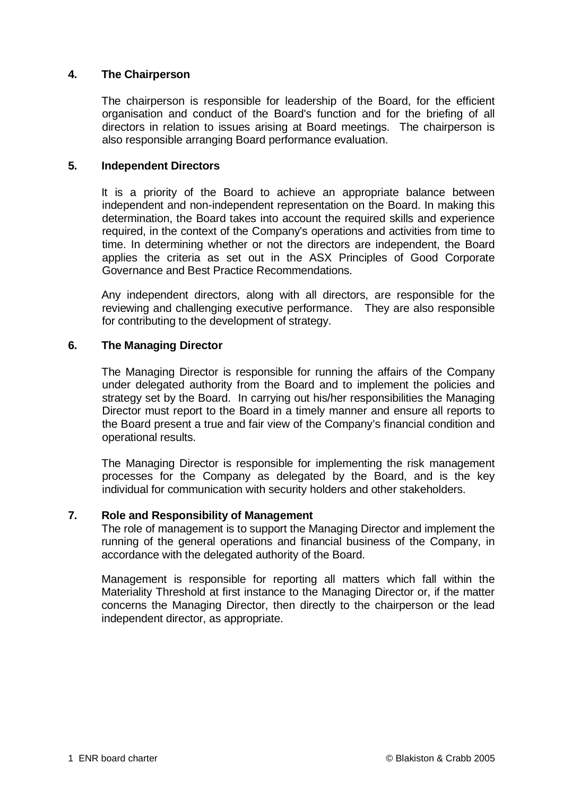## **4. The Chairperson**

The chairperson is responsible for leadership of the Board, for the efficient organisation and conduct of the Board's function and for the briefing of all directors in relation to issues arising at Board meetings. The chairperson is also responsible arranging Board performance evaluation.

#### **5. Independent Directors**

It is a priority of the Board to achieve an appropriate balance between independent and non-independent representation on the Board. In making this determination, the Board takes into account the required skills and experience required, in the context of the Company's operations and activities from time to time. In determining whether or not the directors are independent, the Board applies the criteria as set out in the ASX Principles of Good Corporate Governance and Best Practice Recommendations.

Any independent directors, along with all directors, are responsible for the reviewing and challenging executive performance. They are also responsible for contributing to the development of strategy.

#### **6. The Managing Director**

The Managing Director is responsible for running the affairs of the Company under delegated authority from the Board and to implement the policies and strategy set by the Board. In carrying out his/her responsibilities the Managing Director must report to the Board in a timely manner and ensure all reports to the Board present a true and fair view of the Company's financial condition and operational results.

The Managing Director is responsible for implementing the risk management processes for the Company as delegated by the Board, and is the key individual for communication with security holders and other stakeholders.

## **7. Role and Responsibility of Management**

The role of management is to support the Managing Director and implement the running of the general operations and financial business of the Company, in accordance with the delegated authority of the Board.

Management is responsible for reporting all matters which fall within the Materiality Threshold at first instance to the Managing Director or, if the matter concerns the Managing Director, then directly to the chairperson or the lead independent director, as appropriate.